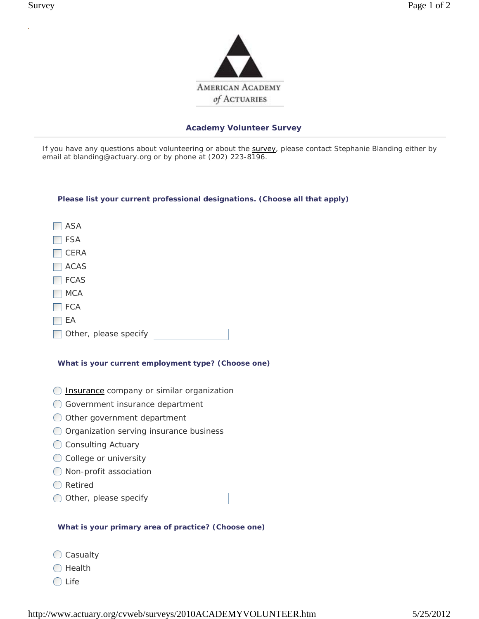

If you have any questions about volunteering or about the survey, please contact Stephanie Blanding either by email at blanding@actuary.org or by phone at (202) 223-8196.

### **Please list your current professional designations. (Choose all that apply)**

**N** ASA FSA  $\Box$  CERA  $\Box$  ACAS  $\Box$  FCAS  $\Box$  MCA  $\Box$  FCA  $\Box$  EA

Other, please specify

## **What is your current employment type? (Choose one)**

- $\bigcirc$  Insurance company or similar organization
- Government insurance department
- O Other government department
- Organization serving insurance business
- O Consulting Actuary
- $\bigcirc$  College or university
- O Non-profit association
- ◯ Retired
- O Other, please specify

## **What is your primary area of practice? (Choose one)**

- O Casualty
- $\bigcirc$  Health
- $\bigcirc$  Life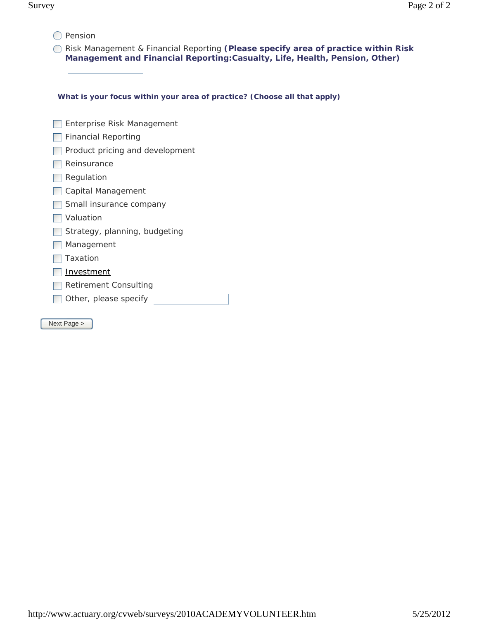$O$  Pension

**C** Risk Management & Financial Reporting (Please specify area of practice within Risk **Management and Financial Reporting:Casualty, Life, Health, Pension, Other)**

**What is your focus within your area of practice? (Choose all that apply)**

| Enterprise Risk Management      |
|---------------------------------|
| Financial Reporting             |
| Product pricing and development |
| Reinsurance                     |
| Regulation                      |
| Capital Management              |
| Small insurance company         |
| Valuation                       |
| Strategy, planning, budgeting   |
| Management                      |
| Taxation                        |
| <u>Investment</u>               |
| Retirement Consulting           |
| Other, please specify           |
|                                 |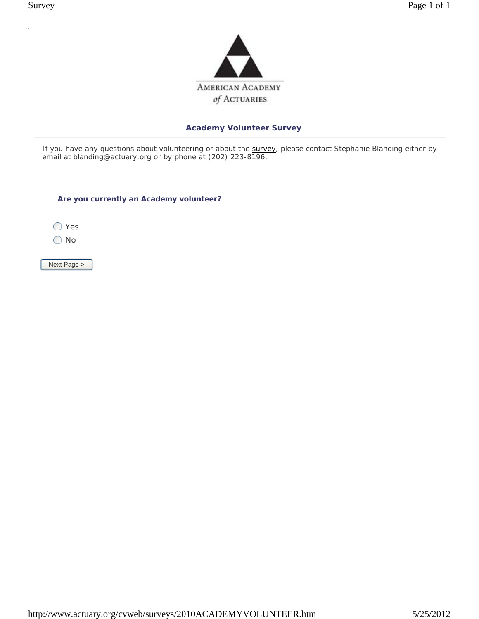

If you have any questions about volunteering or about the survey, please contact Stephanie Blanding either by email at blanding@actuary.org or by phone at (202) 223-8196.

**Are you currently an Academy volunteer?**

◯ Yes

No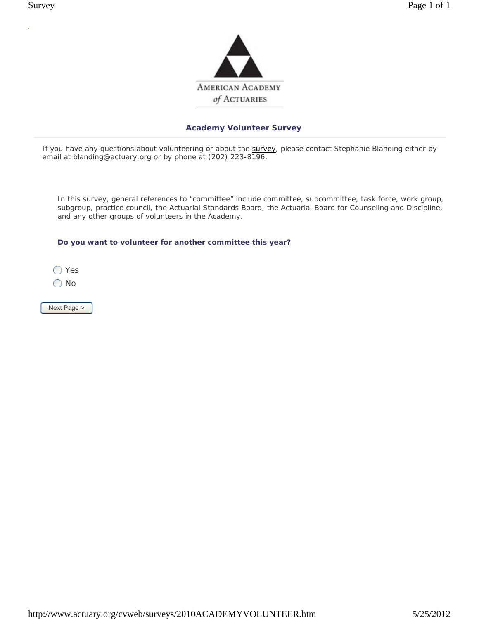

If you have any questions about volunteering or about the survey, please contact Stephanie Blanding either by email at blanding@actuary.org or by phone at (202) 223-8196.

 In this survey, general references to "committee" include committee, subcommittee, task force, work group, subgroup, practice council, the Actuarial Standards Board, the Actuarial Board for Counseling and Discipline, and any other groups of volunteers in the Academy.

**Do you want to volunteer for another committee this year?** 

◯ Yes

O No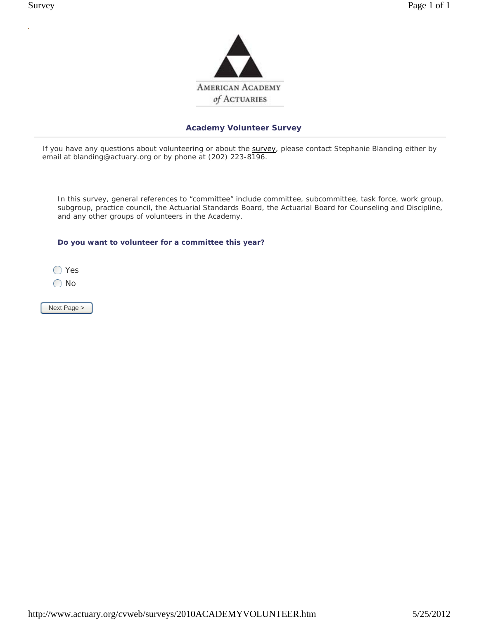

If you have any questions about volunteering or about the survey, please contact Stephanie Blanding either by email at blanding@actuary.org or by phone at (202) 223-8196.

 In this survey, general references to "committee" include committee, subcommittee, task force, work group, subgroup, practice council, the Actuarial Standards Board, the Actuarial Board for Counseling and Discipline, and any other groups of volunteers in the Academy.

**Do you want to volunteer for a committee this year?**

◯ Yes

O No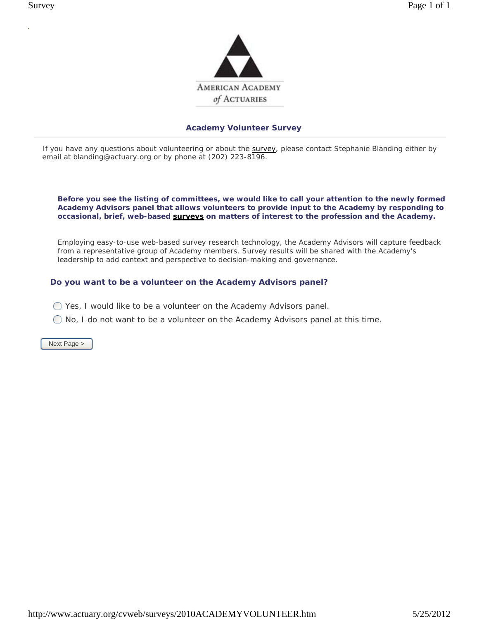

If you have any questions about volunteering or about the survey, please contact Stephanie Blanding either by email at blanding@actuary.org or by phone at (202) 223-8196.

 **Before you see the listing of committees, we would like to call your attention to the newly formed Academy Advisors panel that allows volunteers to provide input to the Academy by responding to occasional, brief, web-based surveys on matters of interest to the profession and the Academy.** 

Employing easy-to-use web-based survey research technology, the Academy Advisors will capture feedback from a representative group of Academy members. Survey results will be shared with the Academy's leadership to add context and perspective to decision-making and governance.

## **Do you want to be a volunteer on the Academy Advisors panel?**

- $\bigcirc$  Yes, I would like to be a volunteer on the Academy Advisors panel.
- $\bigcirc$  No, I do not want to be a volunteer on the Academy Advisors panel at this time.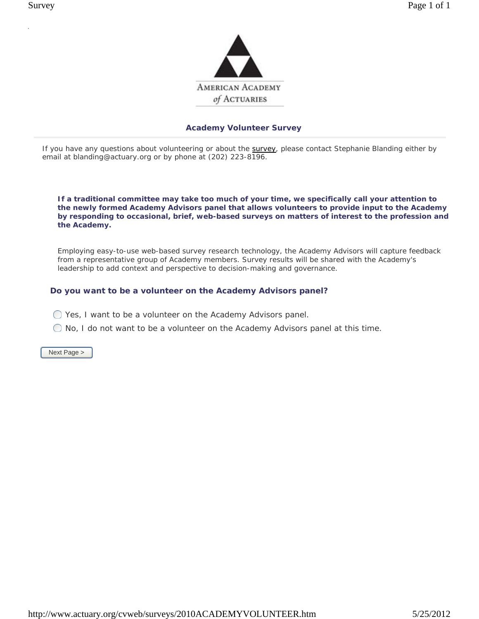

If you have any questions about volunteering or about the survey, please contact Stephanie Blanding either by email at blanding@actuary.org or by phone at (202) 223-8196.

 **If a traditional committee may take too much of your time, we specifically call your attention to the newly formed Academy Advisors panel that allows volunteers to provide input to the Academy by responding to occasional, brief, web-based surveys on matters of interest to the profession and the Academy.** 

Employing easy-to-use web-based survey research technology, the Academy Advisors will capture feedback from a representative group of Academy members. Survey results will be shared with the Academy's leadership to add context and perspective to decision-making and governance.

## **Do you want to be a volunteer on the Academy Advisors panel?**

- Yes, I want to be a volunteer on the Academy Advisors panel.
- $\bigcirc$  No, I do not want to be a volunteer on the Academy Advisors panel at this time.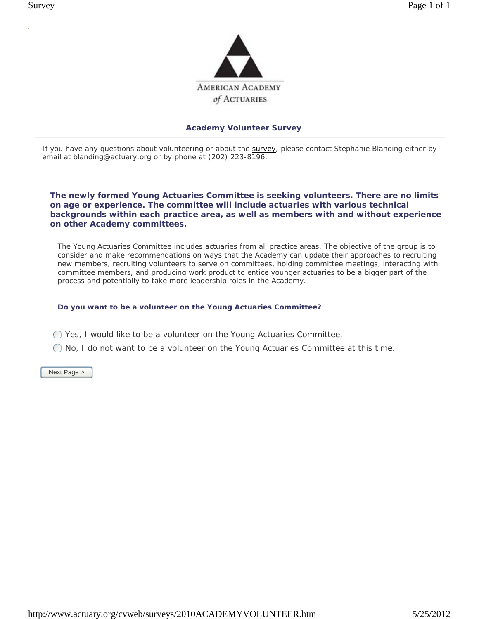

If you have any questions about volunteering or about the survey, please contact Stephanie Blanding either by email at blanding@actuary.org or by phone at (202) 223-8196.

### **The newly formed Young Actuaries Committee is seeking volunteers. There are no limits on age or experience. The committee will include actuaries with various technical backgrounds within each practice area, as well as members with and without experience on other Academy committees.**

The Young Actuaries Committee includes actuaries from all practice areas. The objective of the group is to consider and make recommendations on ways that the Academy can update their approaches to recruiting new members, recruiting volunteers to serve on committees, holding committee meetings, interacting with committee members, and producing work product to entice younger actuaries to be a bigger part of the process and potentially to take more leadership roles in the Academy.

## **Do you want to be a volunteer on the Young Actuaries Committee?**

- Yes, I would like to be a volunteer on the Young Actuaries Committee.
- $\bigcirc$  No, I do not want to be a volunteer on the Young Actuaries Committee at this time.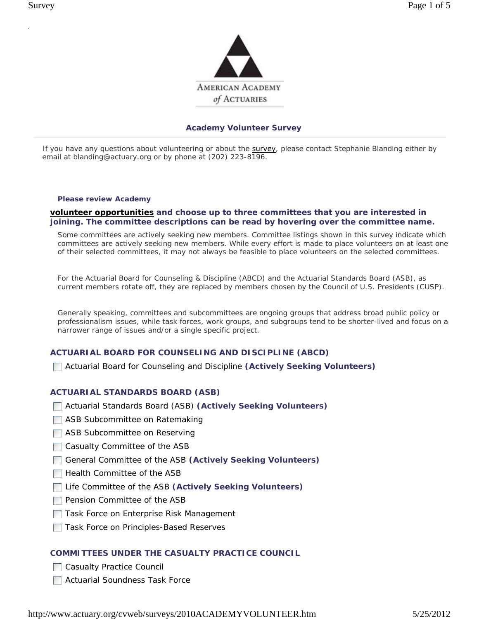

If you have any questions about volunteering or about the **survey**, please contact Stephanie Blanding either by email at blanding@actuary.org or by phone at (202) 223-8196.

#### **Please review Academy**

## **volunteer opportunities and choose up to three committees that you are interested in joining. The committee descriptions can be read by hovering over the committee name.**

Some committees are actively seeking new members. Committee listings shown in this survey indicate which committees are actively seeking new members. While every effort is made to place volunteers on at least one of their selected committees, it may not always be feasible to place volunteers on the selected committees.

For the Actuarial Board for Counseling & Discipline (ABCD) and the Actuarial Standards Board (ASB), as current members rotate off, they are replaced by members chosen by the Council of U.S. Presidents (CUSP).

Generally speaking, committees and subcommittees are ongoing groups that address broad public policy or professionalism issues, while task forces, work groups, and subgroups tend to be shorter-lived and focus on a narrower range of issues and/or a single specific project.

## **ACTUARIAL BOARD FOR COUNSELING AND DISCIPLINE (ABCD)**

Actuarial Board for Counseling and Discipline **(Actively Seeking Volunteers)**

### **ACTUARIAL STANDARDS BOARD (ASB)**

- Actuarial Standards Board (ASB) **(Actively Seeking Volunteers)**
- **ASB Subcommittee on Ratemaking**
- ASB Subcommittee on Reserving
- $\Box$  Casualty Committee of the ASB
- General Committee of the ASB **(Actively Seeking Volunteers)**
- $\Box$  Health Committee of the ASB
- Life Committee of the ASB **(Actively Seeking Volunteers)**
- $\Box$  Pension Committee of the ASB
- **□ Task Force on Enterprise Risk Management**
- **□ Task Force on Principles-Based Reserves**

### **COMMITTEES UNDER THE CASUALTY PRACTICE COUNCIL**

- **Casualty Practice Council**
- **Actuarial Soundness Task Force**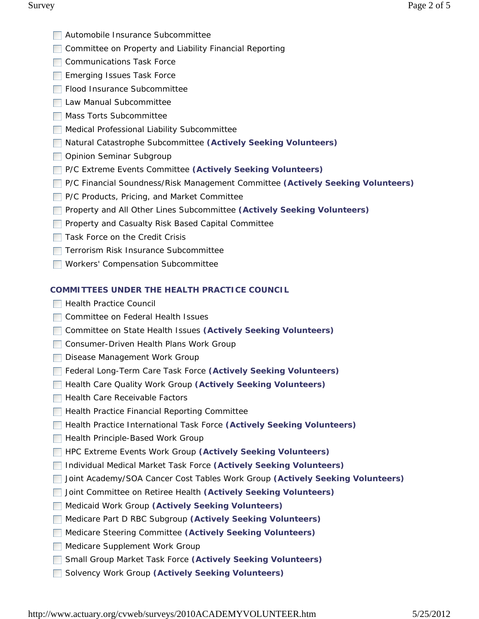- **Automobile Insurance Subcommittee**
- □ Committee on Property and Liability Financial Reporting
- **□ Communications Task Force**
- **Emerging Issues Task Force**
- Flood Insurance Subcommittee
- **Law Manual Subcommittee**
- **Mass Torts Subcommittee**
- Medical Professional Liability Subcommittee
- Natural Catastrophe Subcommittee **(Actively Seeking Volunteers)**
- Opinion Seminar Subgroup
- P/C Extreme Events Committee **(Actively Seeking Volunteers)**
- P/C Financial Soundness/Risk Management Committee **(Actively Seeking Volunteers)**
- P/C Products, Pricing, and Market Committee
- Property and All Other Lines Subcommittee **(Actively Seeking Volunteers)**
- **Property and Casualty Risk Based Capital Committee**
- $\Box$  Task Force on the Credit Crisis
- **Terrorism Risk Insurance Subcommittee**
- **Norkers' Compensation Subcommittee**

## **COMMITTEES UNDER THE HEALTH PRACTICE COUNCIL**

- **Health Practice Council**
- **□ Committee on Federal Health Issues**
- Committee on State Health Issues **(Actively Seeking Volunteers)**
- **Consumer-Driven Health Plans Work Group**
- Disease Management Work Group
- Federal Long-Term Care Task Force **(Actively Seeking Volunteers)**
- **Health Care Quality Work Group (Actively Seeking Volunteers)**
- $\Box$  Health Care Receivable Factors
- **Health Practice Financial Reporting Committee**
- **Health Practice International Task Force (Actively Seeking Volunteers)**
- **Health Principle-Based Work Group**
- **HPC Extreme Events Work Group (Actively Seeking Volunteers)**
- Individual Medical Market Task Force **(Actively Seeking Volunteers)**
- Joint Academy/SOA Cancer Cost Tables Work Group **(Actively Seeking Volunteers)**
- Joint Committee on Retiree Health **(Actively Seeking Volunteers)**
- Medicaid Work Group **(Actively Seeking Volunteers)**
- Medicare Part D RBC Subgroup **(Actively Seeking Volunteers)**
- Medicare Steering Committee **(Actively Seeking Volunteers)**
- Medicare Supplement Work Group
- Small Group Market Task Force **(Actively Seeking Volunteers)**
- Solvency Work Group **(Actively Seeking Volunteers)**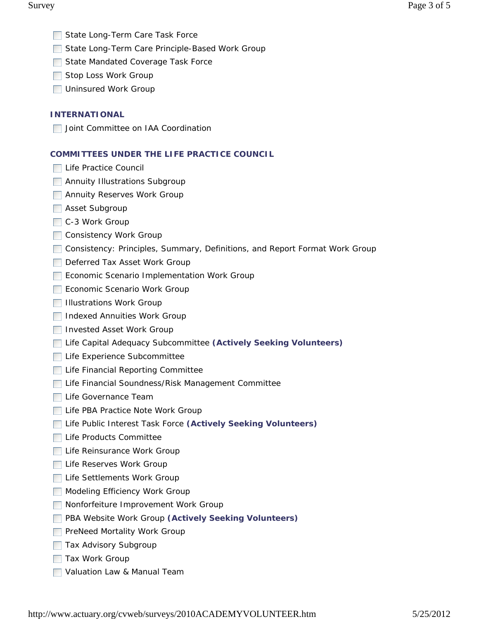- State Long-Term Care Task Force
- □ State Long-Term Care Principle-Based Work Group
- State Mandated Coverage Task Force
- Stop Loss Work Group
- **Uninsured Work Group**

## **INTERNATIONAL**

**Joint Committee on IAA Coordination** 

## **COMMITTEES UNDER THE LIFE PRACTICE COUNCIL**

- **□ Life Practice Council**
- **Annuity Illustrations Subgroup**
- **Annuity Reserves Work Group**
- **Asset Subgroup**
- C-3 Work Group
- **□ Consistency Work Group**
- Consistency: Principles, Summary, Definitions, and Report Format Work Group
- Deferred Tax Asset Work Group
- Economic Scenario Implementation Work Group
- Economic Scenario Work Group
- $\Box$  Illustrations Work Group
- **Indexed Annuities Work Group**
- **Invested Asset Work Group**
- Life Capital Adequacy Subcommittee **(Actively Seeking Volunteers)**
- Life Experience Subcommittee
- **Life Financial Reporting Committee**
- Life Financial Soundness/Risk Management Committee
- **□ Life Governance Team**
- Life PBA Practice Note Work Group
- Life Public Interest Task Force **(Actively Seeking Volunteers)**
- **□ Life Products Committee**
- Life Reinsurance Work Group
- Life Reserves Work Group
- Life Settlements Work Group
- Modeling Efficiency Work Group
- **Nonforfeiture Improvement Work Group**
- **PBA Website Work Group (Actively Seeking Volunteers)**
- **PreNeed Mortality Work Group**
- **Tax Advisory Subgroup**
- **Tax Work Group**
- Valuation Law & Manual Team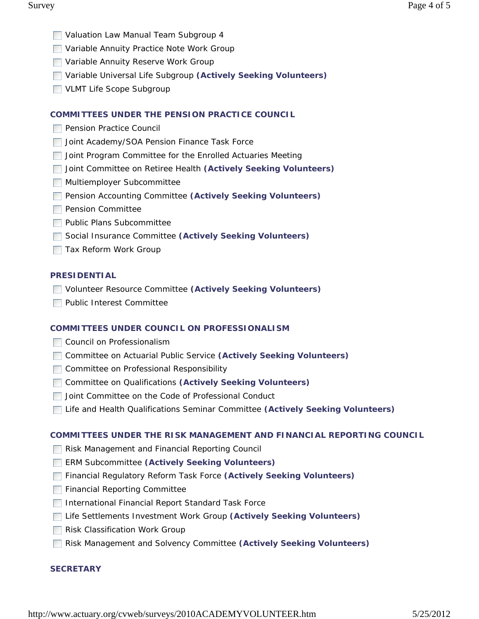- **Naluation Law Manual Team Subgroup 4**
- Variable Annuity Practice Note Work Group
- **Nariable Annuity Reserve Work Group**
- Variable Universal Life Subgroup **(Actively Seeking Volunteers)**
- VLMT Life Scope Subgroup

# **COMMITTEES UNDER THE PENSION PRACTICE COUNCIL**

- **Pension Practice Council**
- **Joint Academy/SOA Pension Finance Task Force**
- **Joint Program Committee for the Enrolled Actuaries Meeting**
- Joint Committee on Retiree Health **(Actively Seeking Volunteers)**
- **Multiemployer Subcommittee**
- **Pension Accounting Committee (Actively Seeking Volunteers)**
- **Pension Committee**
- **Public Plans Subcommittee**
- Social Insurance Committee **(Actively Seeking Volunteers)**
- **Tax Reform Work Group**

# **PRESIDENTIAL**

- Volunteer Resource Committee **(Actively Seeking Volunteers)**
- **Public Interest Committee**

# **COMMITTEES UNDER COUNCIL ON PROFESSIONALISM**

- **□ Council on Professionalism**
- Committee on Actuarial Public Service **(Actively Seeking Volunteers)**
- **Committee on Professional Responsibility**
- Committee on Qualifications **(Actively Seeking Volunteers)**
- Joint Committee on the Code of Professional Conduct
- Life and Health Qualifications Seminar Committee **(Actively Seeking Volunteers)**

# **COMMITTEES UNDER THE RISK MANAGEMENT AND FINANCIAL REPORTING COUNCIL**

- Risk Management and Financial Reporting Council
- ERM Subcommittee **(Actively Seeking Volunteers)**
- Financial Regulatory Reform Task Force **(Actively Seeking Volunteers)**
- **Financial Reporting Committee**
- **International Financial Report Standard Task Force**
- Life Settlements Investment Work Group **(Actively Seeking Volunteers)**
- **Risk Classification Work Group**
- Risk Management and Solvency Committee **(Actively Seeking Volunteers)**

# **SECRETARY**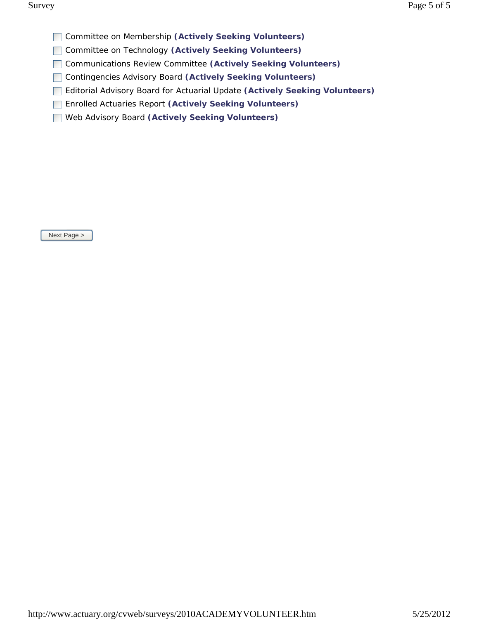- Committee on Membership **(Actively Seeking Volunteers)**
- Committee on Technology **(Actively Seeking Volunteers)**
- Communications Review Committee **(Actively Seeking Volunteers)**
- Contingencies Advisory Board **(Actively Seeking Volunteers)**
- Editorial Advisory Board for Actuarial Update **(Actively Seeking Volunteers)**
- Enrolled Actuaries Report **(Actively Seeking Volunteers)**
- Web Advisory Board **(Actively Seeking Volunteers)**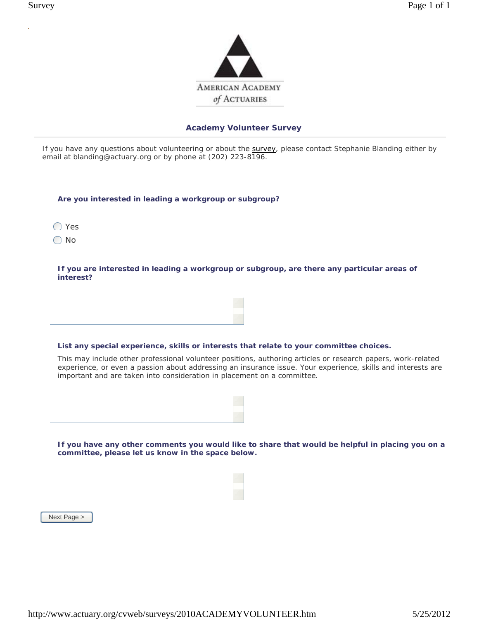

If you have any questions about volunteering or about the survey, please contact Stephanie Blanding either by email at blanding@actuary.org or by phone at (202) 223-8196.

| Are you interested in leading a workgroup or subgroup? |  |
|--------------------------------------------------------|--|
|                                                        |  |

◯ Yes

◯ No

 **If you are interested in leading a workgroup or subgroup, are there any particular areas of interest?**

### **List any special experience, skills or interests that relate to your committee choices.**

This may include other professional volunteer positions, authoring articles or research papers, work-related experience, or even a passion about addressing an insurance issue. Your experience, skills and interests are important and are taken into consideration in placement on a committee.

 **If you have any other comments you would like to share that would be helpful in placing you on a committee, please let us know in the space below.**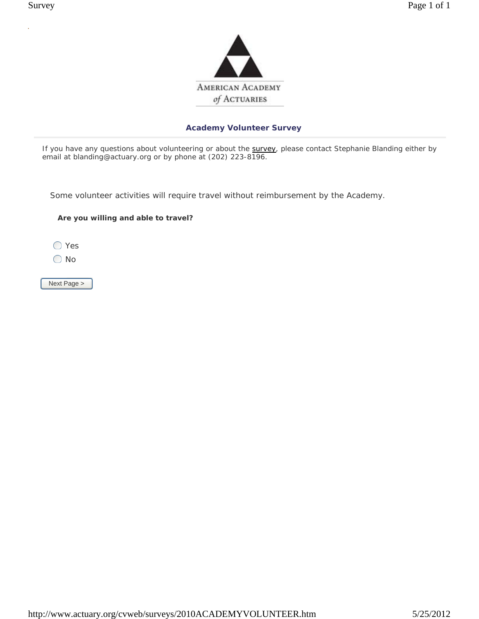

If you have any questions about volunteering or about the survey, please contact Stephanie Blanding either by email at blanding@actuary.org or by phone at (202) 223-8196.

Some volunteer activities will require travel without reimbursement by the Academy.

### **Are you willing and able to travel?**

◯ Yes

◯ No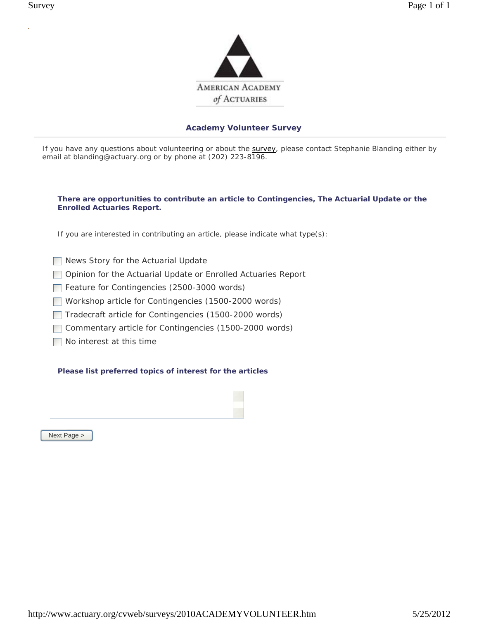

If you have any questions about volunteering or about the survey, please contact Stephanie Blanding either by email at blanding@actuary.org or by phone at (202) 223-8196.

### **There are opportunities to contribute an article to Contingencies, The Actuarial Update or the Enrolled Actuaries Report.**

If you are interested in contributing an article, please indicate what type(s):

- News Story for the Actuarial Update
- **Opinion for the Actuarial Update or Enrolled Actuaries Report**
- Feature for Contingencies (2500-3000 words)
- Workshop article for Contingencies (1500-2000 words)
- Tradecraft article for Contingencies (1500-2000 words)
- Commentary article for Contingencies (1500-2000 words)
- No interest at this time

### **Please list preferred topics of interest for the articles**